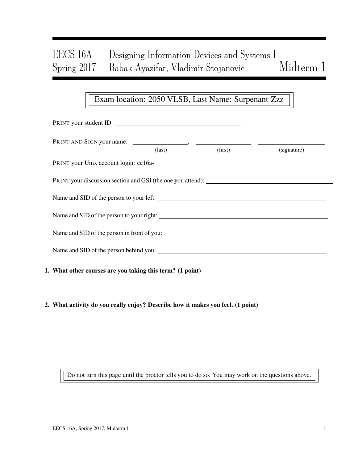# EECS 16A Designing Information Devices and Systems I Spring 2017 Babak Ayazifar, Vladimir Stojanovic Midterm 1

## Exam location: 2050 VLSB, Last Name: Surpenant-Zzz

| PRINT your student ID:                                    |               |         |             |
|-----------------------------------------------------------|---------------|---------|-------------|
|                                                           | $\frac{1}{2}$ | (first) | (signature) |
| PRINT your Unix account login: ee16a-                     |               |         |             |
|                                                           |               |         |             |
|                                                           |               |         |             |
| Name and SID of the person to your right:                 |               |         |             |
|                                                           |               |         |             |
|                                                           |               |         |             |
| 1. What other courses are you taking this term? (1 point) |               |         |             |

2. What activity do you really enjoy? Describe how it makes you feel. (1 point)

Do not turn this page until the proctor tells you to do so. You may work on the questions above.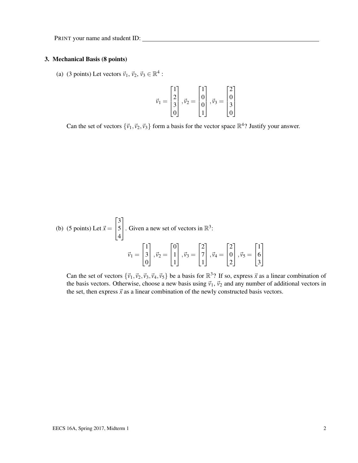#### 3. Mechanical Basis (8 points)

(a) (3 points) Let vectors  $\vec{v}_1$ ,  $\vec{v}_2$ ,  $\vec{v}_3 \in \mathbb{R}^4$ :

$$
\vec{\nu}_1=\begin{bmatrix}1\\2\\3\\0\end{bmatrix},\vec{\nu}_2=\begin{bmatrix}1\\0\\0\\1\end{bmatrix},\vec{\nu}_3=\begin{bmatrix}2\\0\\3\\3\\0\end{bmatrix}
$$

Can the set of vectors  $\{\vec{v}_1, \vec{v}_2, \vec{v}_3\}$  form a basis for the vector space  $\mathbb{R}^4$ ? Justify your answer.

(b) (5 points) Let 
$$
\vec{x} = \begin{bmatrix} 3 \\ 5 \\ 4 \end{bmatrix}
$$
. Given a new set of vectors in  $\mathbb{R}^3$ :  

$$
\vec{v}_1 = \begin{bmatrix} 1 \\ 3 \\ 0 \end{bmatrix}, \vec{v}_2 = \begin{bmatrix} 0 \\ 1 \\ 1 \end{bmatrix}, \vec{v}_3 = \begin{bmatrix} 2 \\ 7 \\ 1 \end{bmatrix}, \vec{v}_4 = \begin{bmatrix} 2 \\ 0 \\ 2 \end{bmatrix}, \vec{v}_5 = \begin{bmatrix} 1 \\ 6 \\ 3 \end{bmatrix}
$$

Can the set of vectors  $\{\vec{v}_1, \vec{v}_2, \vec{v}_3, \vec{v}_4, \vec{v}_5\}$  be a basis for  $\mathbb{R}^3$ ? If so, express  $\vec{x}$  as a linear combination of the basis vectors. Otherwise, choose a new basis using  $\vec{v}_1$ ,  $\vec{v}_2$  and any number of additional vectors in the set, then express  $\vec{x}$  as a linear combination of the newly constructed basis vectors.

1  $\mathbb{I}$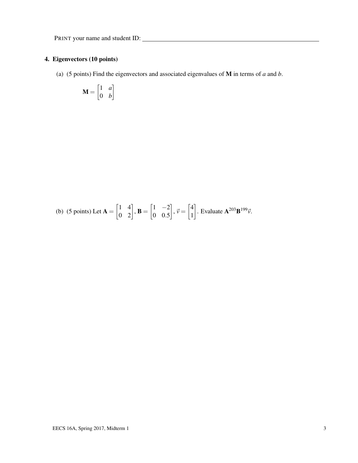## 4. Eigenvectors (10 points)

(a) (5 points) Find the eigenvectors and associated eigenvalues of M in terms of *a* and *b*.

$$
\mathbf{M} = \begin{bmatrix} 1 & a \\ 0 & b \end{bmatrix}
$$

(b) (5 points) Let 
$$
\mathbf{A} = \begin{bmatrix} 1 & 4 \\ 0 & 2 \end{bmatrix}
$$
,  $\mathbf{B} = \begin{bmatrix} 1 & -2 \\ 0 & 0.5 \end{bmatrix}$ ,  $\vec{v} = \begin{bmatrix} 4 \\ 1 \end{bmatrix}$ . Evaluate  $\mathbf{A}^{203} \mathbf{B}^{199} \vec{v}$ .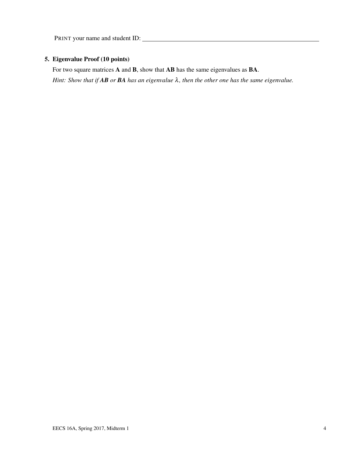## 5. Eigenvalue Proof (10 points)

For two square matrices **A** and **B**, show that **AB** has the same eigenvalues as **BA**. *Hint: Show that if AB or BA has an eigenvalue* λ*, then the other one has the same eigenvalue.*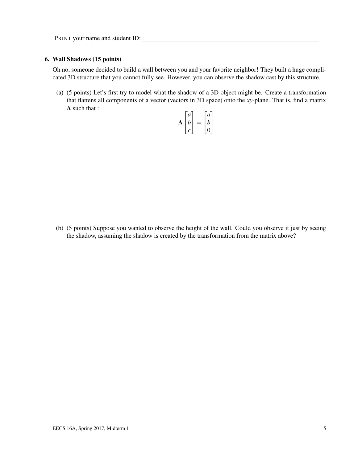#### 6. Wall Shadows (15 points)

Oh no, someone decided to build a wall between you and your favorite neighbor! They built a huge complicated 3D structure that you cannot fully see. However, you can observe the shadow cast by this structure.

(a) (5 points) Let's first try to model what the shadow of a 3D object might be. Create a transformation that flattens all components of a vector (vectors in 3D space) onto the *xy*-plane. That is, find a matrix A such that :

$$
\mathbf{A} \begin{bmatrix} a \\ b \\ c \end{bmatrix} = \begin{bmatrix} a \\ b \\ 0 \end{bmatrix}
$$

(b) (5 points) Suppose you wanted to observe the height of the wall. Could you observe it just by seeing the shadow, assuming the shadow is created by the transformation from the matrix above?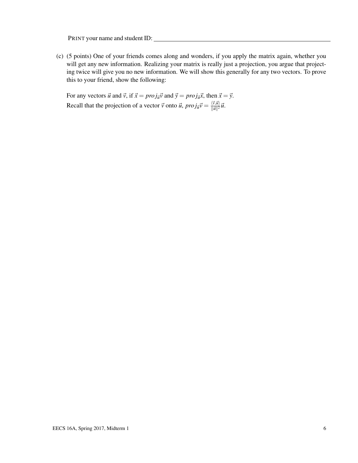(c) (5 points) One of your friends comes along and wonders, if you apply the matrix again, whether you will get any new information. Realizing your matrix is really just a projection, you argue that projecting twice will give you no new information. We will show this generally for any two vectors. To prove this to your friend, show the following:

For any vectors  $\vec{u}$  and  $\vec{v}$ , if  $\vec{x} = proj_{\vec{u}}\vec{v}$  and  $\vec{y} = proj_{\vec{u}}\vec{x}$ , then  $\vec{x} = \vec{y}$ . Recall that the projection of a vector  $\vec{v}$  onto  $\vec{u}$ ,  $proj_{\vec{u}}\vec{v} = \frac{\langle \vec{v}, \vec{u} \rangle}{\|\vec{u}\|^2}$  $\frac{\langle V, \mathcal{U} \rangle}{\|\vec{\mathcal{U}}\|^2} \vec{\mathcal{U}}.$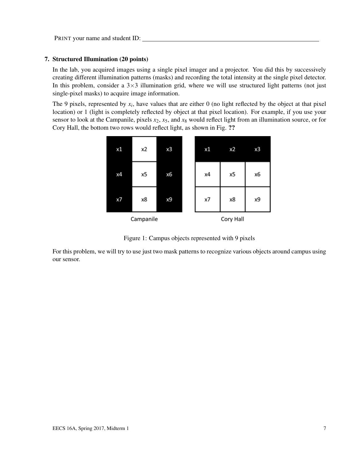#### 7. Structured Illumination (20 points)

In the lab, you acquired images using a single pixel imager and a projector. You did this by successively creating different illumination patterns (masks) and recording the total intensity at the single pixel detector. In this problem, consider a  $3\times3$  illumination grid, where we will use structured light patterns (not just single-pixel masks) to acquire image information.

The 9 pixels, represented by  $x_i$ , have values that are either 0 (no light reflected by the object at that pixel location) or 1 (light is completely reflected by object at that pixel location). For example, if you use your sensor to look at the Campanile, pixels  $x_2$ ,  $x_5$ , and  $x_8$  would reflect light from an illumination source, or for Cory Hall, the bottom two rows would reflect light, as shown in Fig. ??



Figure 1: Campus objects represented with 9 pixels

For this problem, we will try to use just two mask patterns to recognize various objects around campus using our sensor.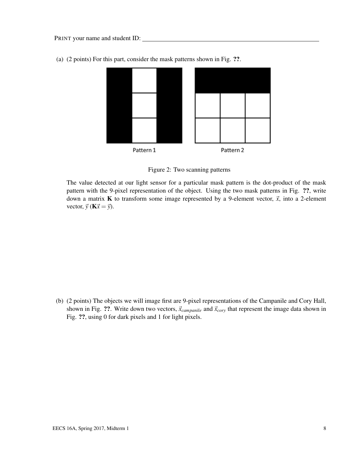

(a) (2 points) For this part, consider the mask patterns shown in Fig. ??.

Figure 2: Two scanning patterns

The value detected at our light sensor for a particular mask pattern is the dot-product of the mask pattern with the 9-pixel representation of the object. Using the two mask patterns in Fig. ??, write down a matrix **K** to transform some image represented by a 9-element vector,  $\vec{x}$ , into a 2-element vector,  $\vec{y}$  (**K** $\vec{x} = \vec{y}$ ).

(b) (2 points) The objects we will image first are 9-pixel representations of the Campanile and Cory Hall, shown in Fig. ??. Write down two vectors,  $\vec{x}_{campanile}$  and  $\vec{x}_{cory}$  that represent the image data shown in Fig. ??, using 0 for dark pixels and 1 for light pixels.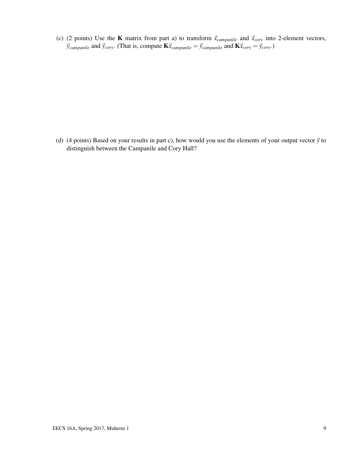(c) (2 points) Use the **K** matrix from part a) to transform  $\vec{x}_{campanial}$  and  $\vec{x}_{cory}$  into 2-element vectors,  $\vec{y}_{example}$  and  $\vec{y}_{corr}$ . (That is, compute  $K\vec{x}_{example} = \vec{y}_{example}$  and  $K\vec{x}_{corr} = \vec{y}_{corr}$ .)

(d) (4 points) Based on your results in part c), how would you use the elements of your output vector  $\vec{y}$  to distinguish between the Campanile and Cory Hall?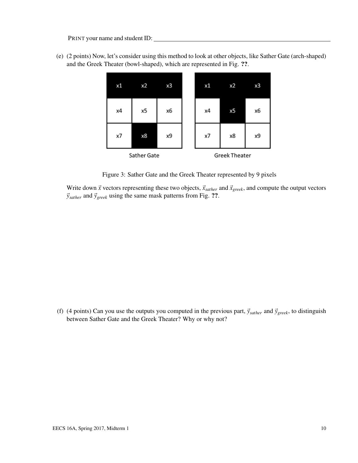(e) (2 points) Now, let's consider using this method to look at other objects, like Sather Gate (arch-shaped) and the Greek Theater (bowl-shaped), which are represented in Fig. ??.



Figure 3: Sather Gate and the Greek Theater represented by 9 pixels

Write down  $\vec{x}$  vectors representing these two objects,  $\vec{x}_{sather}$  and  $\vec{x}_{greek}$ , and compute the output vectors  $\vec{y}_{\text{sather}}$  and  $\vec{y}_{\text{greek}}$  using the same mask patterns from Fig. ??.

(f) (4 points) Can you use the outputs you computed in the previous part,  $\vec{y}_{\text{sather}}$  and  $\vec{y}_{\text{greek}}$ , to distinguish between Sather Gate and the Greek Theater? Why or why not?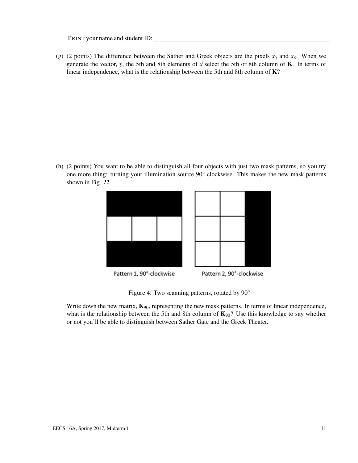(g) (2 points) The difference between the Sather and Greek objects are the pixels  $x_5$  and  $x_8$ . When we generate the vector,  $\vec{y}$ , the 5th and 8th elements of  $\vec{x}$  select the 5th or 8th column of **K**. In terms of linear independence, what is the relationship between the 5th and 8th column of K?

(h) (2 points) You want to be able to distinguish all four objects with just two mask patterns, so you try one more thing: turning your illumination source 90° clockwise. This makes the new mask patterns shown in Fig. ??.



Figure 4: Two scanning patterns, rotated by 90◦

Write down the new matrix,  $\mathbf{K}_{90}$ , representing the new mask patterns. In terms of linear independence, what is the relationship between the 5th and 8th column of  $\mathbf{K}_{90}$ ? Use this knowledge to say whether or not you'll be able to distinguish between Sather Gate and the Greek Theater.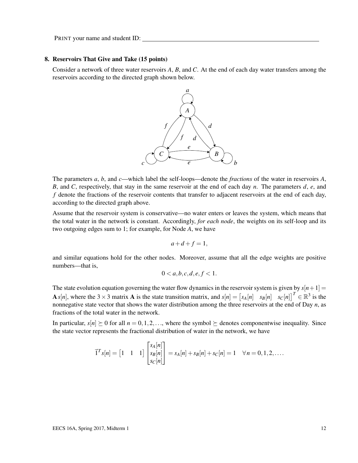#### 8. Reservoirs That Give and Take (15 points)

Consider a network of three water reservoirs *A*, *B*, and *C*. At the end of each day water transfers among the reservoirs according to the directed graph shown below.



The parameters *a*, *b*, and *c*—which label the self-loops—denote the *fractions* of the water in reservoirs *A*, *B*, and *C*, respectively, that stay in the same reservoir at the end of each day *n*. The parameters *d*, *e*, and *f* denote the fractions of the reservoir contents that transfer to adjacent reservoirs at the end of each day, according to the directed graph above.

Assume that the reservoir system is conservative—no water enters or leaves the system, which means that the total water in the network is constant. Accordingly, *for each node*, the weights on its self-loop and its two outgoing edges sum to 1; for example, for Node *A*, we have

$$
a+d+f=1,
$$

and similar equations hold for the other nodes. Moreover, assume that all the edge weights are positive numbers—that is,

$$
0 < a, b, c, d, e, f < 1.
$$

The state evolution equation governing the water flow dynamics in the reservoir system is given by  $s[n+1] =$ A *s*[*n*], where the 3 × 3 matrix A is the state transition matrix, and  $s[n] = \begin{bmatrix} s_A[n] & s_B[n] & s_C[n] \end{bmatrix}^T \in \mathbb{R}^3$  is the nonnegative state vector that shows the water distribution among the three reservoirs at the end of Day *n*, as fractions of the total water in the network.

In particular,  $s[n] \geq 0$  for all  $n = 0, 1, 2, \ldots$ , where the symbol  $\succeq$  denotes componentwise inequality. Since the state vector represents the fractional distribution of water in the network, we have

$$
\vec{1}^T s[n] = \begin{bmatrix} 1 & 1 & 1 \end{bmatrix} \begin{bmatrix} s_A[n] \\ s_B[n] \\ s_C[n] \end{bmatrix} = s_A[n] + s_B[n] + s_C[n] = 1 \quad \forall n = 0, 1, 2, ....
$$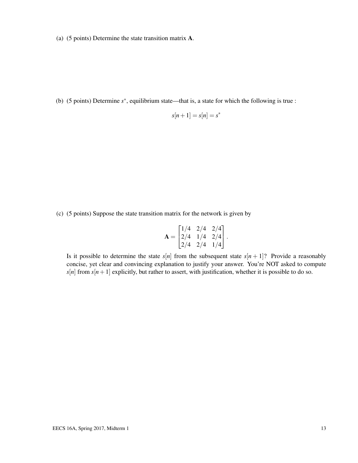(a) (5 points) Determine the state transition matrix A.

(b) (5 points) Determine *s* ∗ , equilibrium state—that is, a state for which the following is true :

$$
s[n+1] = s[n] = s^*
$$

(c) (5 points) Suppose the state transition matrix for the network is given by

$$
\mathbf{A} = \begin{bmatrix} 1/4 & 2/4 & 2/4 \\ 2/4 & 1/4 & 2/4 \\ 2/4 & 2/4 & 1/4 \end{bmatrix}.
$$

Is it possible to determine the state  $s[n]$  from the subsequent state  $s[n+1]$ ? Provide a reasonably concise, yet clear and convincing explanation to justify your answer. You're NOT asked to compute  $s[n]$  from  $s[n+1]$  explicitly, but rather to assert, with justification, whether it is possible to do so.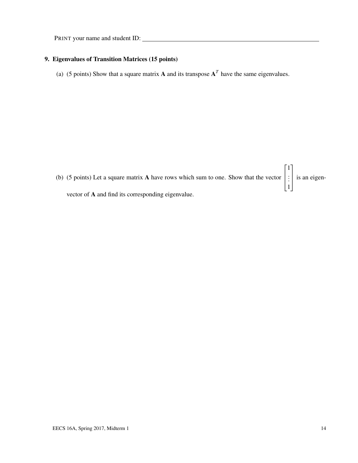## 9. Eigenvalues of Transition Matrices (15 points)

(a) (5 points) Show that a square matrix **A** and its transpose  $A<sup>T</sup>$  have the same eigenvalues.

(b) (5 points) Let a square matrix A have rows which sum to one. Show that the vector  $\vert$ . . . 1 is an eigenvector of A and find its corresponding eigenvalue.

 $\sqrt{ }$ 

1

1